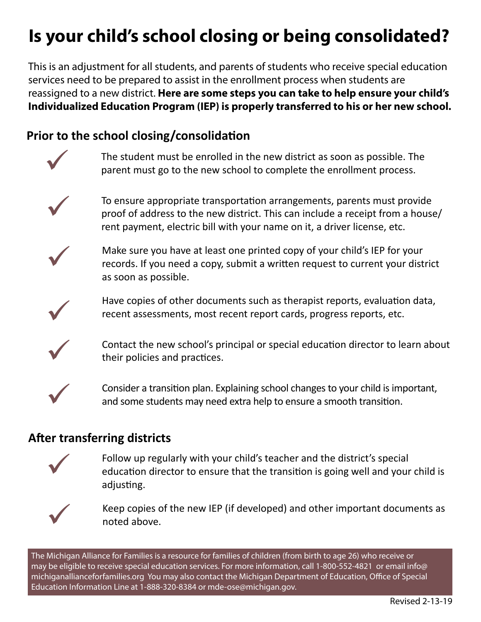## **Is your child's school closing or being consolidated?**

This is an adjustment for all students, and parents of students who receive special education services need to be prepared to assist in the enrollment process when students are reassigned to a new district. **Here are some steps you can take to help ensure your child's Individualized Education Program (IEP) is properly transferred to his or her new school.**

## **Prior to the school closing/consolidation**



The student must be enrolled in the new district as soon as possible. The parent must go to the new school to complete the enrollment process.



To ensure appropriate transportation arrangements, parents must provide proof of address to the new district. This can include a receipt from a house/ rent payment, electric bill with your name on it, a driver license, etc.



Make sure you have at least one printed copy of your child's IEP for your records. If you need a copy, submit a written request to current your district as soon as possible.



Have copies of other documents such as therapist reports, evaluation data, recent assessments, most recent report cards, progress reports, etc.



Contact the new school's principal or special education director to learn about their policies and practices.



Consider a transition plan. Explaining school changes to your child is important, and some students may need extra help to ensure a smooth transition.

## **After transferring districts**



Follow up regularly with your child's teacher and the district's special education director to ensure that the transition is going well and your child is adjusting.



Keep copies of the new IEP (if developed) and other important documents as noted above.

The Michigan Alliance for Families is a resource for families of children (from birth to age 26) who receive or may be eligible to receive special education services. For more information, call 1-800-552-4821 or email info@ michiganallianceforfamilies.org You may also contact the Michigan Department of Education, Office of Special Education Information Line at 1-888-320-8384 or mde-ose@michigan.gov.